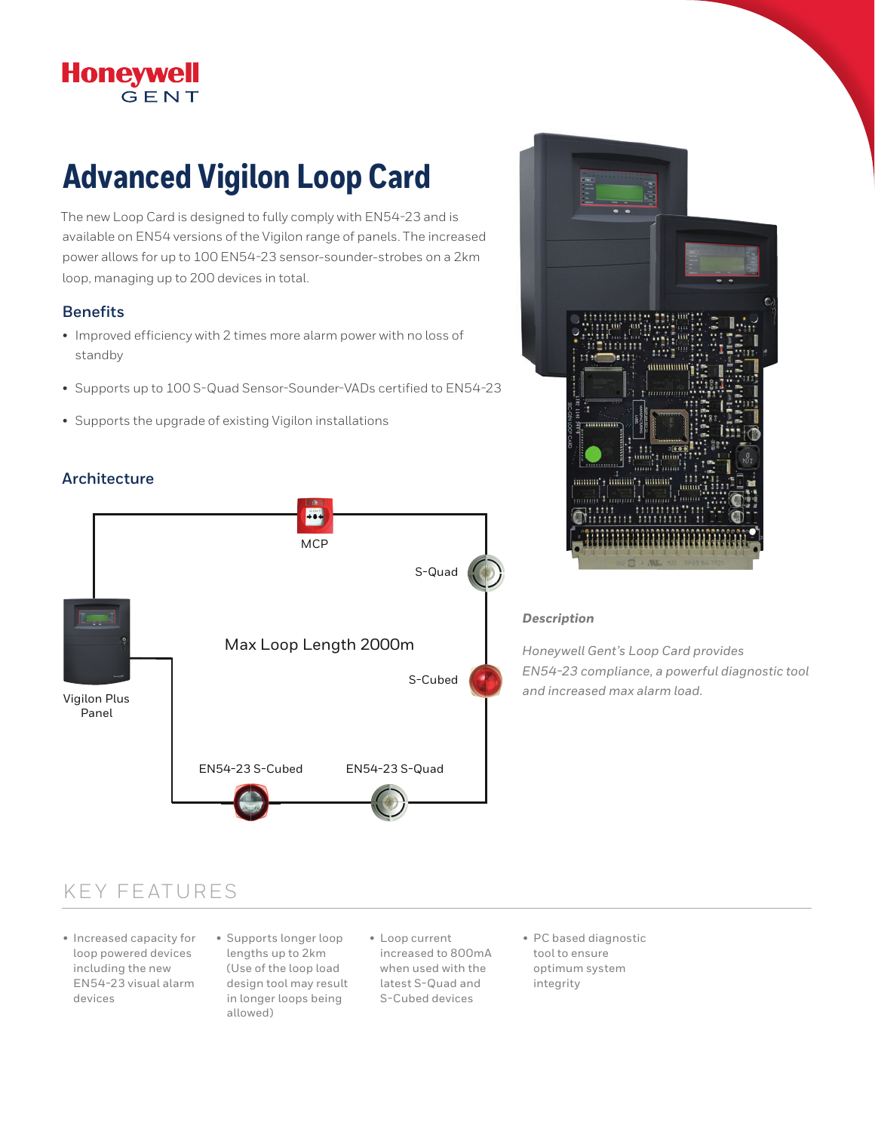# Honeywell

# **Advanced Vigilon Loop Card**

The new Loop Card is designed to fully comply with EN54-23 and is available on EN54 versions of the Vigilon range of panels. The increased power allows for up to 100 EN54-23 sensor-sounder-strobes on a 2km loop, managing up to 200 devices in total.

#### **Benefits**

- Improved efficiency with 2 times more alarm power with no loss of standby
- Supports up to 100 S-Quad Sensor-Sounder-VADs certified to EN54-23
- Supports the upgrade of existing Vigilon installations

#### **Architecture**





#### *Description*

*Honeywell Gent's Loop Card provides EN54-23 compliance, a powerful diagnostic tool and increased max alarm load.*

### KEY FEATURES

- Increased capacity for loop powered devices including the new EN54-23 visual alarm devices
- Supports longer loop lengths up to 2km (Use of the loop load design tool may result in longer loops being allowed)
- Loop current increased to 800mA when used with the latest S-Quad and S-Cubed devices
- PC based diagnostic tool to ensure optimum system integrity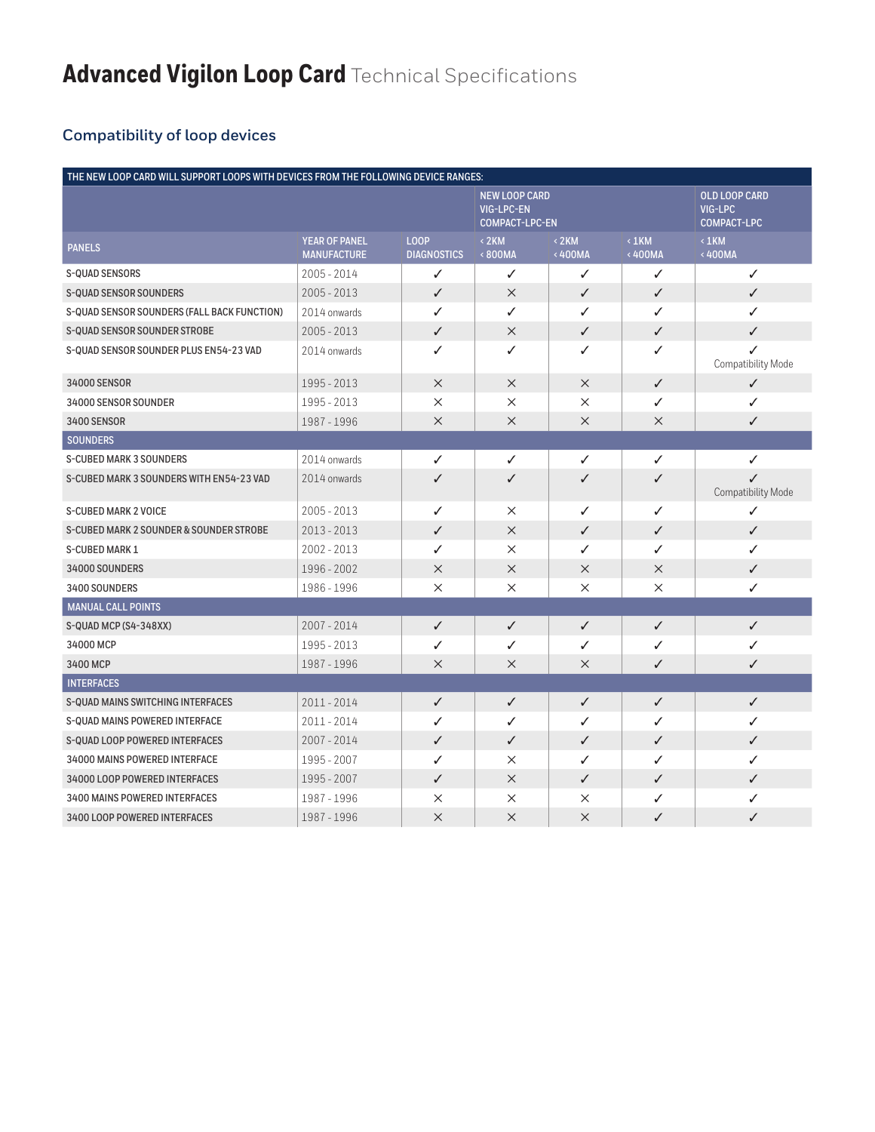## **Compatibility of loop devices**

| THE NEW LOOP CARD WILL SUPPORT LOOPS WITH DEVICES FROM THE FOLLOWING DEVICE RANGES: |                                            |                                   |                                                                    |                      |                       |                                                       |  |
|-------------------------------------------------------------------------------------|--------------------------------------------|-----------------------------------|--------------------------------------------------------------------|----------------------|-----------------------|-------------------------------------------------------|--|
|                                                                                     |                                            |                                   | <b>NEW LOOP CARD</b><br><b>VIG-LPC-EN</b><br><b>COMPACT-LPC-EN</b> |                      |                       | <b>OLD LOOP CARD</b><br>VIG-LPC<br><b>COMPACT-LPC</b> |  |
| <b>PANELS</b>                                                                       | <b>YEAR OF PANEL</b><br><b>MANUFACTURE</b> | <b>LOOP</b><br><b>DIAGNOSTICS</b> | $<$ 2KM<br><800MA                                                  | $\leq$ 2KM<br><400MA | $\leq 1$ KM<br><400MA | $\langle$ 1KM<br><400MA                               |  |
| S-QUAD SENSORS                                                                      | 2005 - 2014                                | ✓                                 | ✓                                                                  | ✓                    | ✓                     | ✓                                                     |  |
| <b>S-QUAD SENSOR SOUNDERS</b>                                                       | $2005 - 2013$                              | ✓                                 | $\times$                                                           | ✓                    | $\checkmark$          | $\checkmark$                                          |  |
| S-QUAD SENSOR SOUNDERS (FALL BACK FUNCTION)                                         | 2014 onwards                               | ✓                                 | ✓                                                                  | ✓                    | ✓                     | ✓                                                     |  |
| <b>S-QUAD SENSOR SOUNDER STROBE</b>                                                 | $2005 - 2013$                              | $\checkmark$                      | $\times$                                                           | ✓                    | $\checkmark$          | $\checkmark$                                          |  |
| S-QUAD SENSOR SOUNDER PLUS EN54-23 VAD                                              | 2014 onwards                               | ✓                                 | ✓                                                                  | ✓                    | ✓                     | Compatibility Mode                                    |  |
| 34000 SENSOR                                                                        | 1995 - 2013                                | $\times$                          | $\times$                                                           | $\times$             | $\checkmark$          | $\checkmark$                                          |  |
| 34000 SENSOR SOUNDER                                                                | 1995 - 2013                                | $\times$                          | $\times$                                                           | $\times$             | ✓                     | ✓                                                     |  |
| 3400 SENSOR                                                                         | 1987 - 1996                                | $\times$                          | $\times$                                                           | $\times$             | $\times$              | $\checkmark$                                          |  |
| <b>SOUNDERS</b>                                                                     |                                            |                                   |                                                                    |                      |                       |                                                       |  |
| <b>S-CUBED MARK 3 SOUNDERS</b>                                                      | 2014 onwards                               | ✓                                 | ✓                                                                  | ✓                    | ✓                     | ✓                                                     |  |
| S-CUBED MARK 3 SOUNDERS WITH EN54-23 VAD                                            | 2014 onwards                               | ✓                                 | ✓                                                                  | ✓                    | ✓                     | ✓<br>Compatibility Mode                               |  |
| <b>S-CUBED MARK 2 VOICE</b>                                                         | $2005 - 2013$                              | ✓                                 | $\times$                                                           | ✓                    | ✓                     | ✓                                                     |  |
| S-CUBED MARK 2 SOUNDER & SOUNDER STROBE                                             | $2013 - 2013$                              | ✓                                 | $\times$                                                           | ✓                    | ✓                     | $\checkmark$                                          |  |
| <b>S-CUBED MARK 1</b>                                                               | $2002 - 2013$                              | ✓                                 | $\times$                                                           | ✓                    | ✓                     | ✓                                                     |  |
| 34000 SOUNDERS                                                                      | 1996 - 2002                                | $\times$                          | $\times$                                                           | $\times$             | $\times$              | $\checkmark$                                          |  |
| 3400 SOUNDERS                                                                       | 1986 - 1996                                | $\times$                          | $\times$                                                           | X                    | $\times$              | ✓                                                     |  |
| <b>MANUAL CALL POINTS</b>                                                           |                                            |                                   |                                                                    |                      |                       |                                                       |  |
| S-QUAD MCP (S4-348XX)                                                               | 2007 - 2014                                | ✓                                 | $\checkmark$                                                       | ✓                    | $\checkmark$          | $\checkmark$                                          |  |
| 34000 MCP                                                                           | 1995 - 2013                                | ✓                                 | ✓                                                                  | ✓                    | ✓                     | ✓                                                     |  |
| 3400 MCP                                                                            | 1987 - 1996                                | $\times$                          | $\times$                                                           | $\times$             | ✓                     | ✓                                                     |  |
| <b>INTERFACES</b>                                                                   |                                            |                                   |                                                                    |                      |                       |                                                       |  |
| S-QUAD MAINS SWITCHING INTERFACES                                                   | 2011-2014                                  | $\checkmark$                      | $\checkmark$                                                       | ✓                    | $\checkmark$          | $\checkmark$                                          |  |
| <b>S-QUAD MAINS POWERED INTERFACE</b>                                               | 2011 - 2014                                | ✓                                 | ✓                                                                  | ✓                    | ✓                     | ✓                                                     |  |
| <b>S-QUAD LOOP POWERED INTERFACES</b>                                               | 2007 - 2014                                | ✓                                 | ✓                                                                  | ✓                    | ✓                     | $\checkmark$                                          |  |
| 34000 MAINS POWERED INTERFACE                                                       | 1995 - 2007                                | ✓                                 | $\times$                                                           | ✓                    | ✓                     | ✓                                                     |  |
| 34000 LOOP POWERED INTERFACES                                                       | 1995 - 2007                                | ✓                                 | $\times$                                                           | ✓                    | ✓                     | $\checkmark$                                          |  |
| <b>3400 MAINS POWERED INTERFACES</b>                                                | 1987 - 1996                                | $\times$                          | $\times$                                                           | X                    | ✓                     | ✓                                                     |  |
| 3400 LOOP POWERED INTERFACES                                                        | 1987 - 1996                                | $\times$                          | $\times$                                                           | $\times$             | ✓                     | ✓                                                     |  |